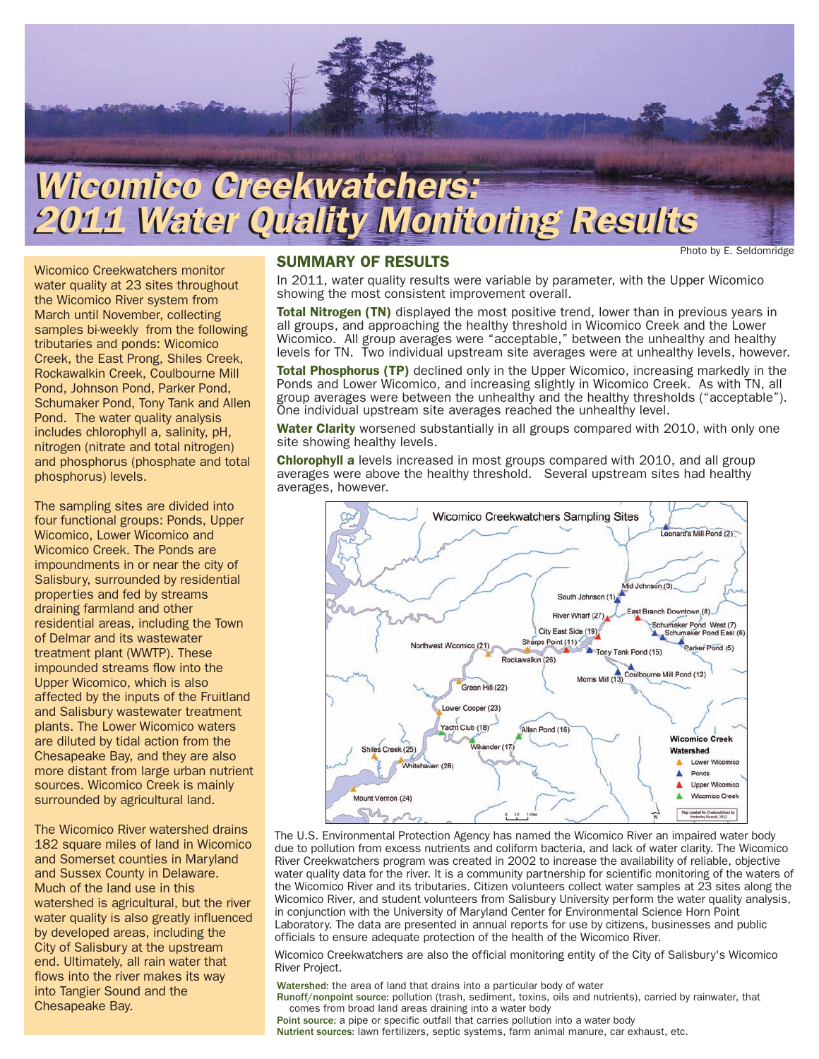

# *Wicomico Creekwatchers: Wicomico Creekwatchers: 2011 Water Quality Monitoring Results 2011 Water Quality Monitoring Results*

Photo by E. Seldomridge

Wicomico Creekwatchers monitor water quality at 23 sites throughout the Wicomico River system from March until November, collecting samples bi-weekly from the following tributaries and ponds: Wicomico Creek, the East Prong, Shiles Creek, Rockawalkin Creek, Coulbourne Mill Pond, Johnson Pond, Parker Pond, Schumaker Pond, Tony Tank and Allen Pond. The water quality analysis includes chlorophyll a, salinity, pH, nitrogen (nitrate and total nitrogen) and phosphorus (phosphate and total phosphorus) levels.

The sampling sites are divided into four functional groups: Ponds, Upper Wicomico, Lower Wicomico and Wicomico Creek. The Ponds are impoundments in or near the city of Salisbury, surrounded by residential properties and fed by streams draining farmland and other residential areas, including the Town of Delmar and its wastewater treatment plant (WWTP). These impounded streams flow into the Upper Wicomico, which is also affected by the inputs of the Fruitland and Salisbury wastewater treatment plants. The Lower Wicomico waters are diluted by tidal action from the Chesapeake Bay, and they are also more distant from large urban nutrient sources. Wicomico Creek is mainly surrounded by agricultural land.

The Wicomico River watershed drains 182 square miles of land in Wicomico and Somerset counties in Maryland and Sussex County in Delaware. Much of the land use in this watershed is agricultural, but the river water quality is also greatly influenced by developed areas, including the City of Salisbury at the upstream end. Ultimately, all rain water that flows into the river makes its way into Tangier Sound and the Chesapeake Bay.

### **SUMMARY OF RESULTS**

In 2011, water quality results were variable by parameter, with the Upper Wicomico showing the most consistent improvement overall.

**Total Nitrogen (TN)** displayed the most positive trend, lower than in previous years in all groups, and approaching the healthy threshold in Wicomico Creek and the Lower Wicomico. All group averages were "acceptable," between the unhealthy and healthy levels for TN. Two individual upstream site averages were at unhealthy levels, however.

**Total Phosphorus (TP)** declined only in the Upper Wicomico, increasing markedly in the Ponds and Lower Wicomico, and increasing slightly in Wicomico Creek. As with TN, all group averages were between the unhealthy and the healthy thresholds ("acceptable"). One individual upstream site averages reached the unhealthy level.

**Water Clarity** worsened substantially in all groups compared with 2010, with only one site showing healthy levels.

**Chlorophyll a** levels increased in most groups compared with 2010, and all group averages were above the healthy threshold. Several upstream sites had healthy averages, however.



The U.S. Environmental Protection Agency has named the Wicomico River an impaired water body due to pollution from excess nutrients and coliform bacteria, and lack of water clarity. The Wicomico River Creekwatchers program was created in 2002 to increase the availability of reliable, objective water quality data for the river. It is a community partnership for scientific monitoring of the waters of the Wicomico River and its tributaries. Citizen volunteers collect water samples at 23 sites along the Wicomico River, and student volunteers from Salisbury University perform the water quality analysis, in conjunction with the University of Maryland Center for Environmental Science Horn Point Laboratory. The data are presented in annual reports for use by citizens, businesses and public officials to ensure adequate protection of the health of the Wicomico River.

Wicomico Creekwatchers are also the official monitoring entity of the City of Salisbury's Wicomico River Project.

Watershed: the area of land that drains into a particular body of water Runoff/nonpoint source: pollution (trash, sediment, toxins, oils and nutrients), carried by rainwater, that comes from broad land areas draining into a water body Point source: a pipe or specific outfall that carries pollution into a water body Nutrient sources: lawn fertilizers, septic systems, farm animal manure, car exhaust, etc.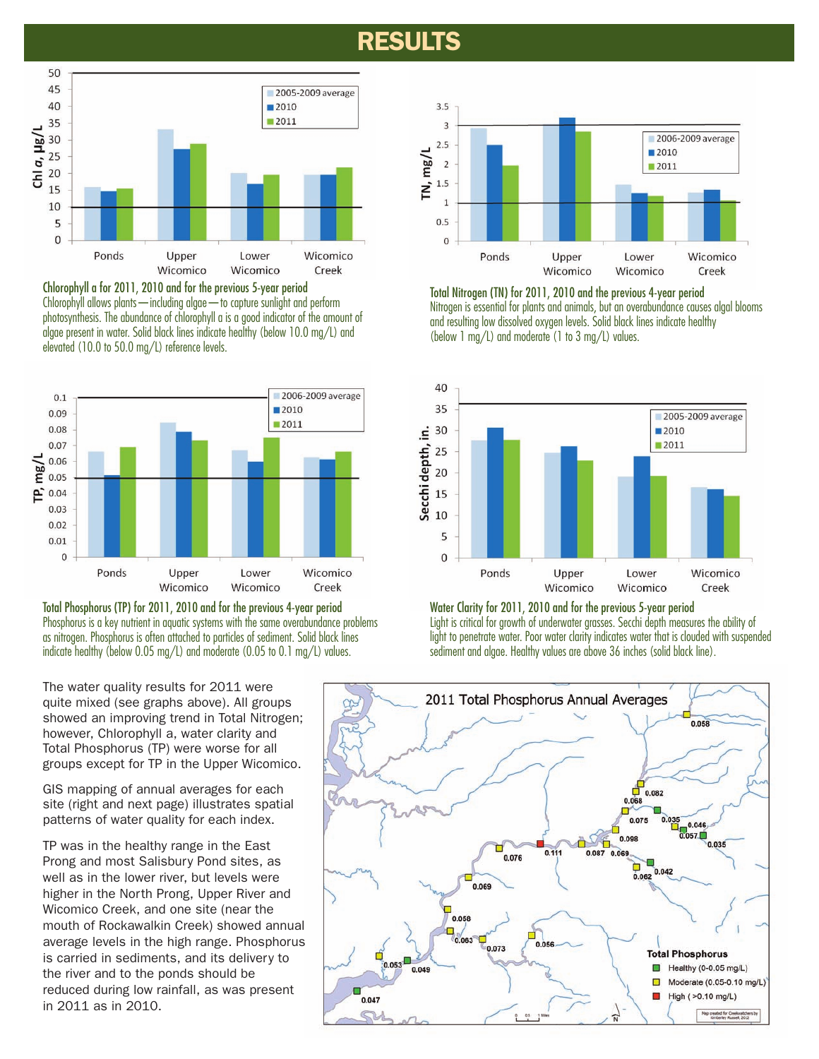# **RESULTS**



Chlorophyll a for 2011, 2010 and for the previous 5-year period Chlorophyll allows plants—including algae—to capture sunlight and perform photosynthesis. The abundance of chlorophyll a is a good indicator of the amount of algae present in water. Solid black lines indicate healthy (below 10.0 mg/L) and elevated (10.0 to 50.0 mg/L) reference levels.



Total Phosphorus (TP) for 2011, 2010 and for the previous 4-year period Phosphorus is a key nutrient in aquatic systems with the same overabundance problems as nitrogen. Phosphorus is often attached to particles of sediment. Solid black lines indicate healthy (below 0.05 mg/L) and moderate (0.05 to 0.1 mg/L) values.

The water quality results for 2011 were quite mixed (see graphs above). All groups showed an improving trend in Total Nitrogen; however, Chlorophyll a, water clarity and Total Phosphorus (TP) were worse for all groups except for TP in the Upper Wicomico.

GIS mapping of annual averages for each site (right and next page) illustrates spatial patterns of water quality for each index.

TP was in the healthy range in the East Prong and most Salisbury Pond sites, as well as in the lower river, but levels were higher in the North Prong, Upper River and Wicomico Creek, and one site (near the mouth of Rockawalkin Creek) showed annual average levels in the high range. Phosphorus is carried in sediments, and its delivery to the river and to the ponds should be reduced during low rainfall, as was present in 2011 as in 2010.



Total Nitrogen (TN) for 2011, 2010 and the previous 4-year period Nitrogen is essential for plants and animals, but an overabundance causes algal blooms and resulting low dissolved oxygen levels. Solid black lines indicate healthy (below 1 mg/L) and moderate (1 to 3 mg/L) values.



#### Water Clarity for 2011, 2010 and for the previous 5-year period Light is critical for growth of underwater grasses. Secchi depth measures the ability of

light to penetrate water. Poor water clarity indicates water that is clouded with suspended sediment and algae. Healthy values are above 36 inches (solid black line).

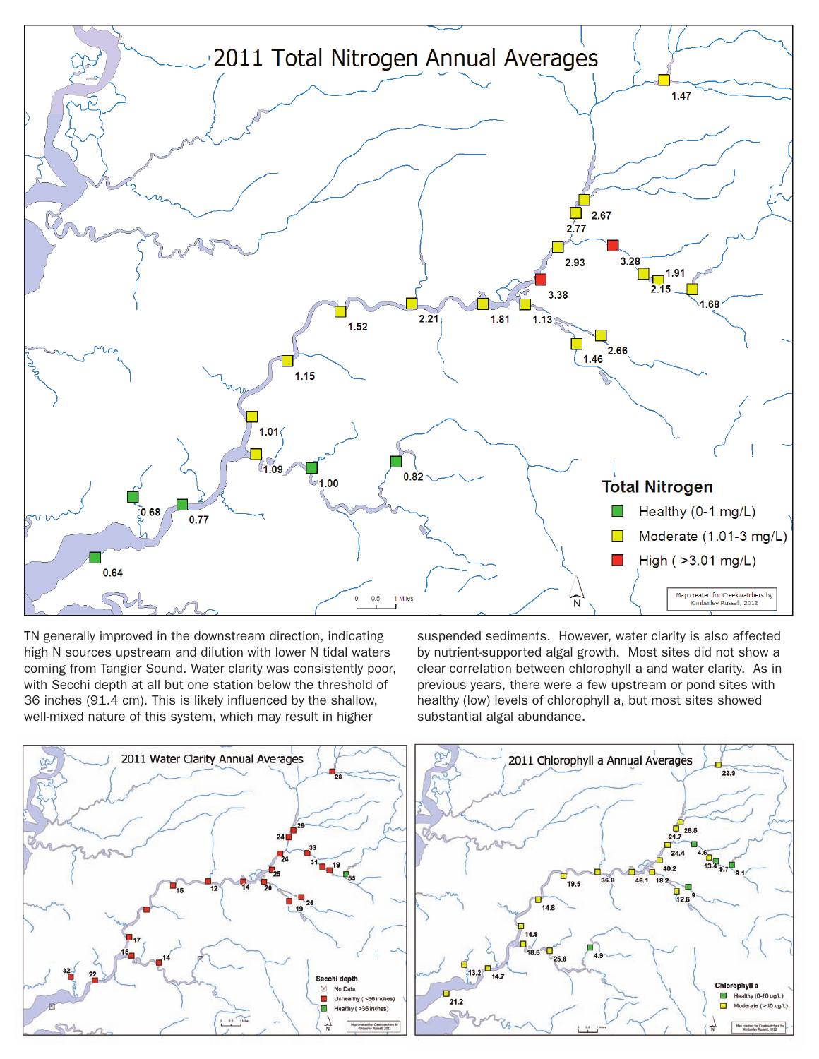

TN generally improved in the downstream direction, indicating high N sources upstream and dilution with lower N tidal waters coming from Tangier Sound. Water clarity was consistently poor, with Secchi depth at all but one station below the threshold of 36 inches (91.4 cm). This is likely influenced by the shallow, well-mixed nature of this system, which may result in higher

suspended sediments. However, water clarity is also affected by nutrient-supported algal growth. Most sites did not show a clear correlation between chlorophyll a and water clarity. As in previous years, there were a few upstream or pond sites with healthy (low) levels of chlorophyll a, but most sites showed substantial algal abundance.